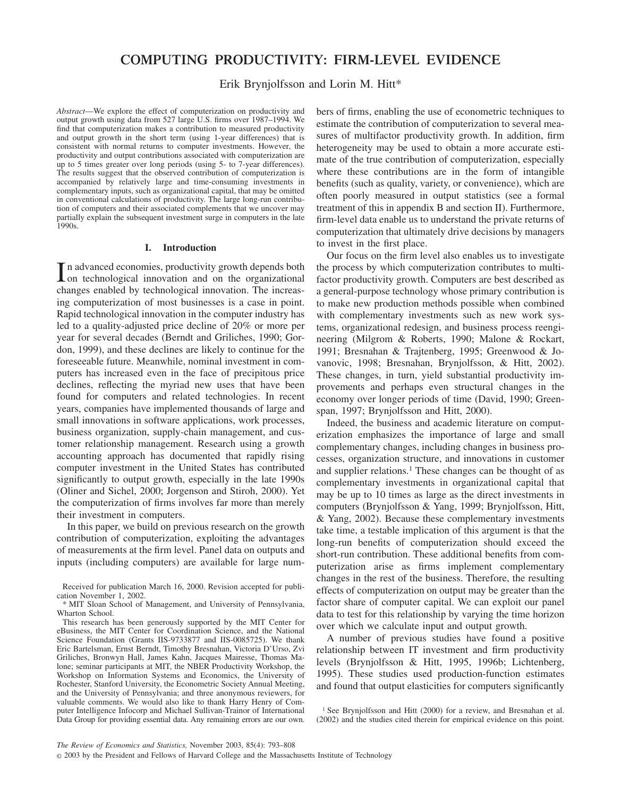# **COMPUTING PRODUCTIVITY: FIRM-LEVEL EVIDENCE**

Erik Brynjolfsson and Lorin M. Hitt\*

*Abstract*—We explore the effect of computerization on productivity and output growth using data from 527 large U.S. firms over 1987–1994. We find that computerization makes a contribution to measured productivity and output growth in the short term (using 1-year differences) that is consistent with normal returns to computer investments. However, the productivity and output contributions associated with computerization are up to 5 times greater over long periods (using 5- to 7-year differences). The results suggest that the observed contribution of computerization is accompanied by relatively large and time-consuming investments in complementary inputs, such as organizational capital, that may be omitted in conventional calculations of productivity. The large long-run contribution of computers and their associated complements that we uncover may partially explain the subsequent investment surge in computers in the late 1990s.

## **I. Introduction**

In advanced economies, productivity growth depends both<br>on technological innovation and on the organizational n advanced economies, productivity growth depends both changes enabled by technological innovation. The increasing computerization of most businesses is a case in point. Rapid technological innovation in the computer industry has led to a quality-adjusted price decline of 20% or more per year for several decades (Berndt and Griliches, 1990; Gordon, 1999), and these declines are likely to continue for the foreseeable future. Meanwhile, nominal investment in computers has increased even in the face of precipitous price declines, reflecting the myriad new uses that have been found for computers and related technologies. In recent years, companies have implemented thousands of large and small innovations in software applications, work processes, business organization, supply-chain management, and customer relationship management. Research using a growth accounting approach has documented that rapidly rising computer investment in the United States has contributed significantly to output growth, especially in the late 1990s (Oliner and Sichel, 2000; Jorgenson and Stiroh, 2000). Yet the computerization of firms involves far more than merely their investment in computers.

In this paper, we build on previous research on the growth contribution of computerization, exploiting the advantages of measurements at the firm level. Panel data on outputs and inputs (including computers) are available for large numbers of firms, enabling the use of econometric techniques to estimate the contribution of computerization to several measures of multifactor productivity growth. In addition, firm heterogeneity may be used to obtain a more accurate estimate of the true contribution of computerization, especially where these contributions are in the form of intangible benefits (such as quality, variety, or convenience), which are often poorly measured in output statistics (see a formal treatment of this in appendix B and section II). Furthermore, firm-level data enable us to understand the private returns of computerization that ultimately drive decisions by managers to invest in the first place.

Our focus on the firm level also enables us to investigate the process by which computerization contributes to multifactor productivity growth. Computers are best described as a general-purpose technology whose primary contribution is to make new production methods possible when combined with complementary investments such as new work systems, organizational redesign, and business process reengineering (Milgrom & Roberts, 1990; Malone & Rockart, 1991; Bresnahan & Trajtenberg, 1995; Greenwood & Jovanovic, 1998; Bresnahan, Brynjolfsson, & Hitt, 2002). These changes, in turn, yield substantial productivity improvements and perhaps even structural changes in the economy over longer periods of time (David, 1990; Greenspan, 1997; Brynjolfsson and Hitt, 2000).

Indeed, the business and academic literature on computerization emphasizes the importance of large and small complementary changes, including changes in business processes, organization structure, and innovations in customer and supplier relations.<sup>1</sup> These changes can be thought of as complementary investments in organizational capital that may be up to 10 times as large as the direct investments in computers (Brynjolfsson & Yang, 1999; Brynjolfsson, Hitt, & Yang, 2002). Because these complementary investments take time, a testable implication of this argument is that the long-run benefits of computerization should exceed the short-run contribution. These additional benefits from computerization arise as firms implement complementary changes in the rest of the business. Therefore, the resulting effects of computerization on output may be greater than the factor share of computer capital. We can exploit our panel data to test for this relationship by varying the time horizon over which we calculate input and output growth.

A number of previous studies have found a positive relationship between IT investment and firm productivity levels (Brynjolfsson & Hitt, 1995, 1996b; Lichtenberg, 1995). These studies used production-function estimates and found that output elasticities for computers significantly

Received for publication March 16, 2000. Revision accepted for publication November 1, 2002.

<sup>\*</sup> MIT Sloan School of Management, and University of Pennsylvania, Wharton School.

This research has been generously supported by the MIT Center for eBusiness, the MIT Center for Coordination Science, and the National Science Foundation (Grants IIS-9733877 and IIS-0085725). We thank Eric Bartelsman, Ernst Berndt, Timothy Bresnahan, Victoria D'Urso, Zvi Griliches, Bronwyn Hall, James Kahn, Jacques Mairesse, Thomas Malone; seminar participants at MIT, the NBER Productivity Workshop, the Workshop on Information Systems and Economics, the University of Rochester, Stanford University, the Econometric Society Annual Meeting, and the University of Pennsylvania; and three anonymous reviewers, for valuable comments. We would also like to thank Harry Henry of Computer Intelligence Infocorp and Michael Sullivan-Trainor of International Data Group for providing essential data. Any remaining errors are our own.

<sup>&</sup>lt;sup>1</sup> See Brynjolfsson and Hitt (2000) for a review, and Bresnahan et al. (2002) and the studies cited therein for empirical evidence on this point.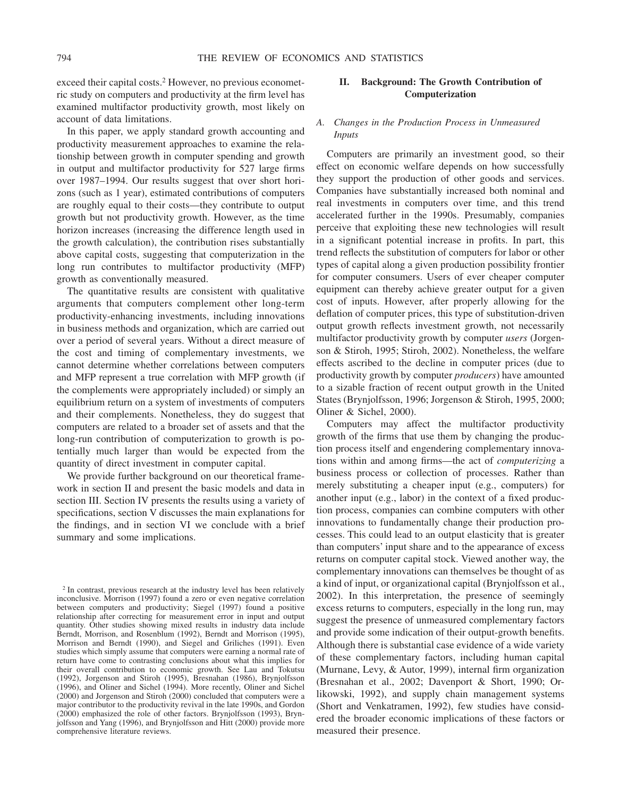exceed their capital costs.2 However, no previous econometric study on computers and productivity at the firm level has examined multifactor productivity growth, most likely on account of data limitations.

In this paper, we apply standard growth accounting and productivity measurement approaches to examine the relationship between growth in computer spending and growth in output and multifactor productivity for 527 large firms over 1987–1994. Our results suggest that over short horizons (such as 1 year), estimated contributions of computers are roughly equal to their costs—they contribute to output growth but not productivity growth. However, as the time horizon increases (increasing the difference length used in the growth calculation), the contribution rises substantially above capital costs, suggesting that computerization in the long run contributes to multifactor productivity (MFP) growth as conventionally measured.

The quantitative results are consistent with qualitative arguments that computers complement other long-term productivity-enhancing investments, including innovations in business methods and organization, which are carried out over a period of several years. Without a direct measure of the cost and timing of complementary investments, we cannot determine whether correlations between computers and MFP represent a true correlation with MFP growth (if the complements were appropriately included) or simply an equilibrium return on a system of investments of computers and their complements. Nonetheless, they do suggest that computers are related to a broader set of assets and that the long-run contribution of computerization to growth is potentially much larger than would be expected from the quantity of direct investment in computer capital.

We provide further background on our theoretical framework in section II and present the basic models and data in section III. Section IV presents the results using a variety of specifications, section V discusses the main explanations for the findings, and in section VI we conclude with a brief summary and some implications.

## **II. Background: The Growth Contribution of Computerization**

## *A. Changes in the Production Process in Unmeasured Inputs*

Computers are primarily an investment good, so their effect on economic welfare depends on how successfully they support the production of other goods and services. Companies have substantially increased both nominal and real investments in computers over time, and this trend accelerated further in the 1990s. Presumably, companies perceive that exploiting these new technologies will result in a significant potential increase in profits. In part, this trend reflects the substitution of computers for labor or other types of capital along a given production possibility frontier for computer consumers. Users of ever cheaper computer equipment can thereby achieve greater output for a given cost of inputs. However, after properly allowing for the deflation of computer prices, this type of substitution-driven output growth reflects investment growth, not necessarily multifactor productivity growth by computer *users* (Jorgenson & Stiroh, 1995; Stiroh, 2002). Nonetheless, the welfare effects ascribed to the decline in computer prices (due to productivity growth by computer *producers*) have amounted to a sizable fraction of recent output growth in the United States (Brynjolfsson, 1996; Jorgenson & Stiroh, 1995, 2000; Oliner & Sichel, 2000).

Computers may affect the multifactor productivity growth of the firms that use them by changing the production process itself and engendering complementary innovations within and among firms—the act of *computerizing* a business process or collection of processes. Rather than merely substituting a cheaper input (e.g., computers) for another input (e.g., labor) in the context of a fixed production process, companies can combine computers with other innovations to fundamentally change their production processes. This could lead to an output elasticity that is greater than computers' input share and to the appearance of excess returns on computer capital stock. Viewed another way, the complementary innovations can themselves be thought of as a kind of input, or organizational capital (Brynjolfsson et al., 2002). In this interpretation, the presence of seemingly excess returns to computers, especially in the long run, may suggest the presence of unmeasured complementary factors and provide some indication of their output-growth benefits. Although there is substantial case evidence of a wide variety of these complementary factors, including human capital (Murnane, Levy, & Autor, 1999), internal firm organization (Bresnahan et al., 2002; Davenport & Short, 1990; Orlikowski, 1992), and supply chain management systems (Short and Venkatramen, 1992), few studies have considered the broader economic implications of these factors or measured their presence.

<sup>2</sup> In contrast, previous research at the industry level has been relatively inconclusive. Morrison (1997) found a zero or even negative correlation between computers and productivity; Siegel (1997) found a positive relationship after correcting for measurement error in input and output quantity. Other studies showing mixed results in industry data include Berndt, Morrison, and Rosenblum (1992), Berndt and Morrison (1995), Morrison and Berndt (1990), and Siegel and Griliches (1991). Even studies which simply assume that computers were earning a normal rate of return have come to contrasting conclusions about what this implies for their overall contribution to economic growth. See Lau and Tokutsu (1992), Jorgenson and Stiroh (1995), Bresnahan (1986), Brynjolfsson (1996), and Oliner and Sichel (1994). More recently, Oliner and Sichel (2000) and Jorgenson and Stiroh (2000) concluded that computers were a major contributor to the productivity revival in the late 1990s, and Gordon (2000) emphasized the role of other factors. Brynjolfsson (1993), Brynjolfsson and Yang (1996), and Brynjolfsson and Hitt (2000) provide more comprehensive literature reviews.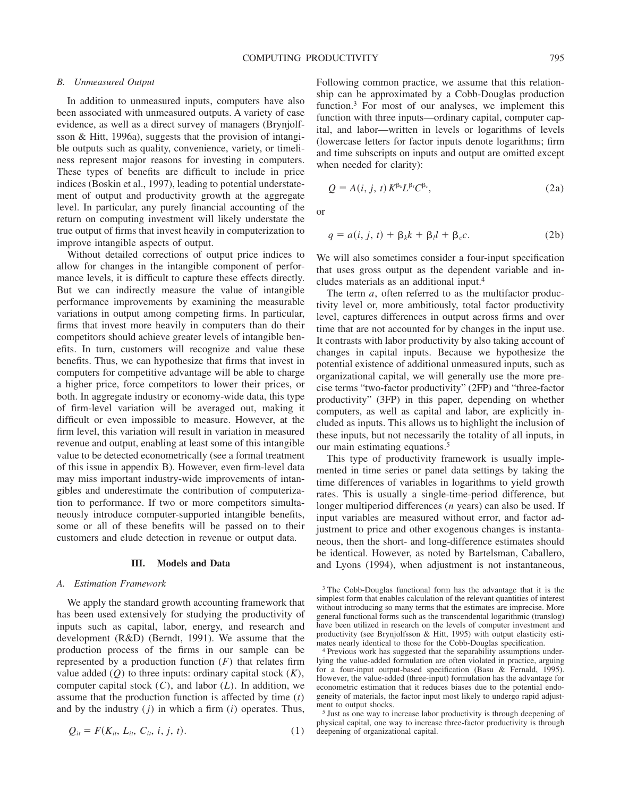## *B. Unmeasured Output*

In addition to unmeasured inputs, computers have also been associated with unmeasured outputs. A variety of case evidence, as well as a direct survey of managers (Brynjolfsson & Hitt, 1996a), suggests that the provision of intangible outputs such as quality, convenience, variety, or timeliness represent major reasons for investing in computers. These types of benefits are difficult to include in price indices (Boskin et al., 1997), leading to potential understatement of output and productivity growth at the aggregate level. In particular, any purely financial accounting of the return on computing investment will likely understate the true output of firms that invest heavily in computerization to improve intangible aspects of output.

Without detailed corrections of output price indices to allow for changes in the intangible component of performance levels, it is difficult to capture these effects directly. But we can indirectly measure the value of intangible performance improvements by examining the measurable variations in output among competing firms. In particular, firms that invest more heavily in computers than do their competitors should achieve greater levels of intangible benefits. In turn, customers will recognize and value these benefits. Thus, we can hypothesize that firms that invest in computers for competitive advantage will be able to charge a higher price, force competitors to lower their prices, or both. In aggregate industry or economy-wide data, this type of firm-level variation will be averaged out, making it difficult or even impossible to measure. However, at the firm level, this variation will result in variation in measured revenue and output, enabling at least some of this intangible value to be detected econometrically (see a formal treatment of this issue in appendix B). However, even firm-level data may miss important industry-wide improvements of intangibles and underestimate the contribution of computerization to performance. If two or more competitors simultaneously introduce computer-supported intangible benefits, some or all of these benefits will be passed on to their customers and elude detection in revenue or output data.

## **III. Models and Data**

#### *A. Estimation Framework*

We apply the standard growth accounting framework that has been used extensively for studying the productivity of inputs such as capital, labor, energy, and research and development (R&D) (Berndt, 1991). We assume that the production process of the firms in our sample can be represented by a production function  $(F)$  that relates firm value added  $(Q)$  to three inputs: ordinary capital stock  $(K)$ , computer capital stock (*C*), and labor (*L*). In addition, we assume that the production function is affected by time (*t*) and by the industry ( *j*) in which a firm (*i*) operates. Thus,

$$
Q_{it} = F(K_{it}, L_{it}, C_{it}, i, j, t).
$$
 (1)

Following common practice, we assume that this relationship can be approximated by a Cobb-Douglas production function.3 For most of our analyses, we implement this function with three inputs—ordinary capital, computer capital, and labor—written in levels or logarithms of levels (lowercase letters for factor inputs denote logarithms; firm and time subscripts on inputs and output are omitted except when needed for clarity):

$$
Q = A(i, j, t) K^{\beta \iota} L^{\beta \iota} C^{\beta c}, \qquad (2a)
$$

or

$$
q = a(i, j, t) + \beta_k k + \beta_l l + \beta_c c.
$$
 (2b)

We will also sometimes consider a four-input specification that uses gross output as the dependent variable and includes materials as an additional input.4

The term *a*, often referred to as the multifactor productivity level or, more ambitiously, total factor productivity level, captures differences in output across firms and over time that are not accounted for by changes in the input use. It contrasts with labor productivity by also taking account of changes in capital inputs. Because we hypothesize the potential existence of additional unmeasured inputs, such as organizational capital, we will generally use the more precise terms "two-factor productivity" (2FP) and "three-factor productivity" (3FP) in this paper, depending on whether computers, as well as capital and labor, are explicitly included as inputs. This allows us to highlight the inclusion of these inputs, but not necessarily the totality of all inputs, in our main estimating equations.5

This type of productivity framework is usually implemented in time series or panel data settings by taking the time differences of variables in logarithms to yield growth rates. This is usually a single-time-period difference, but longer multiperiod differences (*n* years) can also be used. If input variables are measured without error, and factor adjustment to price and other exogenous changes is instantaneous, then the short- and long-difference estimates should be identical. However, as noted by Bartelsman, Caballero, and Lyons (1994), when adjustment is not instantaneous,

<sup>5</sup> Just as one way to increase labor productivity is through deepening of physical capital, one way to increase three-factor productivity is through deepening of organizational capital.

<sup>3</sup> The Cobb-Douglas functional form has the advantage that it is the simplest form that enables calculation of the relevant quantities of interest without introducing so many terms that the estimates are imprecise. More general functional forms such as the transcendental logarithmic (translog) have been utilized in research on the levels of computer investment and productivity (see Brynjolfsson & Hitt, 1995) with output elasticity estimates nearly identical to those for the Cobb-Douglas specification.

<sup>4</sup> Previous work has suggested that the separability assumptions underlying the value-added formulation are often violated in practice, arguing for a four-input output-based specification (Basu & Fernald, 1995). However, the value-added (three-input) formulation has the advantage for econometric estimation that it reduces biases due to the potential endogeneity of materials, the factor input most likely to undergo rapid adjustment to output shocks.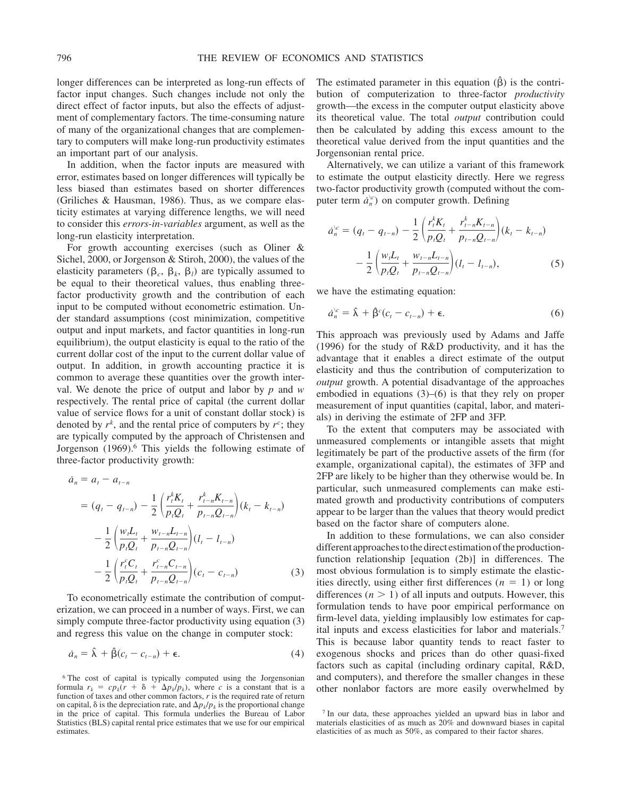longer differences can be interpreted as long-run effects of factor input changes. Such changes include not only the direct effect of factor inputs, but also the effects of adjustment of complementary factors. The time-consuming nature of many of the organizational changes that are complementary to computers will make long-run productivity estimates an important part of our analysis.

In addition, when the factor inputs are measured with error, estimates based on longer differences will typically be less biased than estimates based on shorter differences (Griliches & Hausman, 1986). Thus, as we compare elasticity estimates at varying difference lengths, we will need to consider this *errors-in-variables* argument, as well as the long-run elasticity interpretation.

For growth accounting exercises (such as Oliner & Sichel, 2000, or Jorgenson & Stiroh, 2000), the values of the elasticity parameters ( $\beta_c$ ,  $\beta_k$ ,  $\beta_l$ ) are typically assumed to be equal to their theoretical values, thus enabling threefactor productivity growth and the contribution of each input to be computed without econometric estimation. Under standard assumptions (cost minimization, competitive output and input markets, and factor quantities in long-run equilibrium), the output elasticity is equal to the ratio of the current dollar cost of the input to the current dollar value of output. In addition, in growth accounting practice it is common to average these quantities over the growth interval. We denote the price of output and labor by *p* and *w* respectively. The rental price of capital (the current dollar value of service flows for a unit of constant dollar stock) is denoted by  $r^k$ , and the rental price of computers by  $r^c$ ; they are typically computed by the approach of Christensen and Jorgenson (1969).<sup>6</sup> This yields the following estimate of three-factor productivity growth:

$$
\dot{a}_n = a_t - a_{t-n}
$$
\n
$$
= (q_t - q_{t-n}) - \frac{1}{2} \left( \frac{r_t^k K_t}{p_t Q_t} + \frac{r_{t-n}^k K_{t-n}}{p_{t-n} Q_{t-n}} \right) (k_t - k_{t-n})
$$
\n
$$
- \frac{1}{2} \left( \frac{w_t L_t}{p_t Q_t} + \frac{w_{t-n} L_{t-n}}{p_{t-n} Q_{t-n}} \right) (l_t - l_{t-n})
$$
\n
$$
- \frac{1}{2} \left( \frac{r_t^c C_t}{p_t Q_t} + \frac{r_{t-n}^c C_{t-n}}{p_{t-n} Q_{t-n}} \right) (c_t - c_{t-n}) \tag{3}
$$

To econometrically estimate the contribution of computerization, we can proceed in a number of ways. First, we can simply compute three-factor productivity using equation (3) and regress this value on the change in computer stock:

$$
\dot{a}_n = \hat{\lambda} + \hat{\beta}(c_t - c_{t-n}) + \epsilon. \tag{4}
$$

The estimated parameter in this equation  $(\hat{\beta})$  is the contribution of computerization to three-factor *productivity* growth—the excess in the computer output elasticity above its theoretical value. The total *output* contribution could then be calculated by adding this excess amount to the theoretical value derived from the input quantities and the Jorgensonian rental price.

Alternatively, we can utilize a variant of this framework to estimate the output elasticity directly. Here we regress two-factor productivity growth (computed without the computer term  $\dot{a}_n^{\vphantom{\dagger}}$  on computer growth. Defining

$$
\dot{a}_n^{\backslash c} = (q_t - q_{t-n}) - \frac{1}{2} \left( \frac{r_t^k K_t}{p_t Q_t} + \frac{r_{t-n}^k K_{t-n}}{p_{t-n} Q_{t-n}} \right) (k_t - k_{t-n}) - \frac{1}{2} \left( \frac{w_t L_t}{p_t Q_t} + \frac{w_{t-n} L_{t-n}}{p_{t-n} Q_{t-n}} \right) (l_t - l_{t-n}),
$$
\n(5)

we have the estimating equation:

$$
\dot{a}_n^{\backslash c} = \hat{\lambda} + \hat{\beta}^c (c_t - c_{t-n}) + \epsilon. \tag{6}
$$

This approach was previously used by Adams and Jaffe (1996) for the study of R&D productivity, and it has the advantage that it enables a direct estimate of the output elasticity and thus the contribution of computerization to *output* growth. A potential disadvantage of the approaches embodied in equations (3)–(6) is that they rely on proper measurement of input quantities (capital, labor, and materials) in deriving the estimate of 2FP and 3FP.

To the extent that computers may be associated with unmeasured complements or intangible assets that might legitimately be part of the productive assets of the firm (for example, organizational capital), the estimates of 3FP and 2FP are likely to be higher than they otherwise would be. In particular, such unmeasured complements can make estimated growth and productivity contributions of computers appear to be larger than the values that theory would predict based on the factor share of computers alone.

In addition to these formulations, we can also consider different approaches to the direct estimation of the productionfunction relationship [equation (2b)] in differences. The most obvious formulation is to simply estimate the elasticities directly, using either first differences  $(n = 1)$  or long differences  $(n > 1)$  of all inputs and outputs. However, this formulation tends to have poor empirical performance on firm-level data, yielding implausibly low estimates for capital inputs and excess elasticities for labor and materials.7 This is because labor quantity tends to react faster to exogenous shocks and prices than do other quasi-fixed factors such as capital (including ordinary capital, R&D, and computers), and therefore the smaller changes in these other nonlabor factors are more easily overwhelmed by

<sup>6</sup> The cost of capital is typically computed using the Jorgensonian formula  $r_k = c p_k (r + \delta + \Delta p_k / p_k)$ , where *c* is a constant that is a function of taxes and other common factors, *r* is the required rate of return on capital,  $\delta$  is the depreciation rate, and  $\Delta p_k/p_k$  is the proportional change in the price of capital. This formula underlies the Bureau of Labor Statistics (BLS) capital rental price estimates that we use for our empirical estimates.

<sup>7</sup> In our data, these approaches yielded an upward bias in labor and materials elasticities of as much as 20% and downward biases in capital elasticities of as much as 50%, as compared to their factor shares.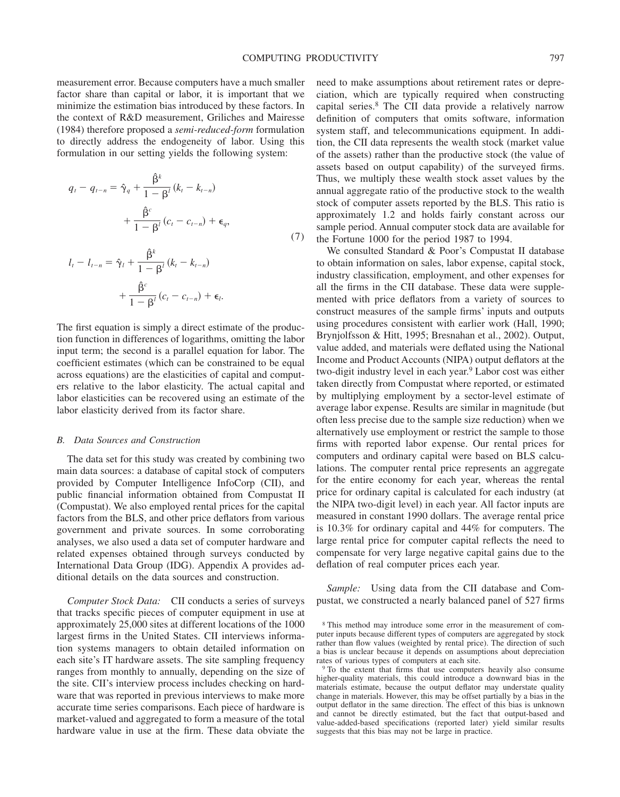measurement error. Because computers have a much smaller factor share than capital or labor, it is important that we minimize the estimation bias introduced by these factors. In the context of R&D measurement, Griliches and Mairesse (1984) therefore proposed a *semi-reduced-form* formulation to directly address the endogeneity of labor. Using this formulation in our setting yields the following system:

$$
q_{t} - q_{t-n} = \hat{\gamma}_{q} + \frac{\hat{\beta}^{k}}{1 - \beta^{l}} (k_{t} - k_{t-n})
$$
  
+ 
$$
\frac{\hat{\beta}^{c}}{1 - \beta^{l}} (c_{t} - c_{t-n}) + \epsilon_{q},
$$
  

$$
l_{t} - l_{t-n} = \hat{\gamma}_{l} + \frac{\hat{\beta}^{k}}{1 - \beta^{l}} (k_{t} - k_{t-n})
$$
  
+ 
$$
\frac{\hat{\beta}^{c}}{1 - \beta^{l}} (c_{t} - c_{t-n}) + \epsilon_{l}.
$$
 (7)

The first equation is simply a direct estimate of the production function in differences of logarithms, omitting the labor input term; the second is a parallel equation for labor. The coefficient estimates (which can be constrained to be equal across equations) are the elasticities of capital and computers relative to the labor elasticity. The actual capital and labor elasticities can be recovered using an estimate of the labor elasticity derived from its factor share.

#### *B. Data Sources and Construction*

The data set for this study was created by combining two main data sources: a database of capital stock of computers provided by Computer Intelligence InfoCorp (CII), and public financial information obtained from Compustat II (Compustat). We also employed rental prices for the capital factors from the BLS, and other price deflators from various government and private sources. In some corroborating analyses, we also used a data set of computer hardware and related expenses obtained through surveys conducted by International Data Group (IDG). Appendix A provides additional details on the data sources and construction.

*Computer Stock Data:* CII conducts a series of surveys that tracks specific pieces of computer equipment in use at approximately 25,000 sites at different locations of the 1000 largest firms in the United States. CII interviews information systems managers to obtain detailed information on each site's IT hardware assets. The site sampling frequency ranges from monthly to annually, depending on the size of the site. CII's interview process includes checking on hardware that was reported in previous interviews to make more accurate time series comparisons. Each piece of hardware is market-valued and aggregated to form a measure of the total hardware value in use at the firm. These data obviate the need to make assumptions about retirement rates or depreciation, which are typically required when constructing capital series.8 The CII data provide a relatively narrow definition of computers that omits software, information system staff, and telecommunications equipment. In addition, the CII data represents the wealth stock (market value of the assets) rather than the productive stock (the value of assets based on output capability) of the surveyed firms. Thus, we multiply these wealth stock asset values by the annual aggregate ratio of the productive stock to the wealth stock of computer assets reported by the BLS. This ratio is approximately 1.2 and holds fairly constant across our sample period. Annual computer stock data are available for the Fortune 1000 for the period 1987 to 1994.

We consulted Standard & Poor's Compustat II database to obtain information on sales, labor expense, capital stock, industry classification, employment, and other expenses for all the firms in the CII database. These data were supplemented with price deflators from a variety of sources to construct measures of the sample firms' inputs and outputs using procedures consistent with earlier work (Hall, 1990; Brynjolfsson & Hitt, 1995; Bresnahan et al., 2002). Output, value added, and materials were deflated using the National Income and Product Accounts (NIPA) output deflators at the two-digit industry level in each year.9 Labor cost was either taken directly from Compustat where reported, or estimated by multiplying employment by a sector-level estimate of average labor expense. Results are similar in magnitude (but often less precise due to the sample size reduction) when we alternatively use employment or restrict the sample to those firms with reported labor expense. Our rental prices for computers and ordinary capital were based on BLS calculations. The computer rental price represents an aggregate for the entire economy for each year, whereas the rental price for ordinary capital is calculated for each industry (at the NIPA two-digit level) in each year. All factor inputs are measured in constant 1990 dollars. The average rental price is 10.3% for ordinary capital and 44% for computers. The large rental price for computer capital reflects the need to compensate for very large negative capital gains due to the deflation of real computer prices each year.

*Sample:* Using data from the CII database and Compustat, we constructed a nearly balanced panel of 527 firms

<sup>8</sup> This method may introduce some error in the measurement of computer inputs because different types of computers are aggregated by stock rather than flow values (weighted by rental price). The direction of such a bias is unclear because it depends on assumptions about depreciation rates of various types of computers at each site.

<sup>9</sup> To the extent that firms that use computers heavily also consume higher-quality materials, this could introduce a downward bias in the materials estimate, because the output deflator may understate quality change in materials. However, this may be offset partially by a bias in the output deflator in the same direction. The effect of this bias is unknown and cannot be directly estimated, but the fact that output-based and value-added-based specifications (reported later) yield similar results suggests that this bias may not be large in practice.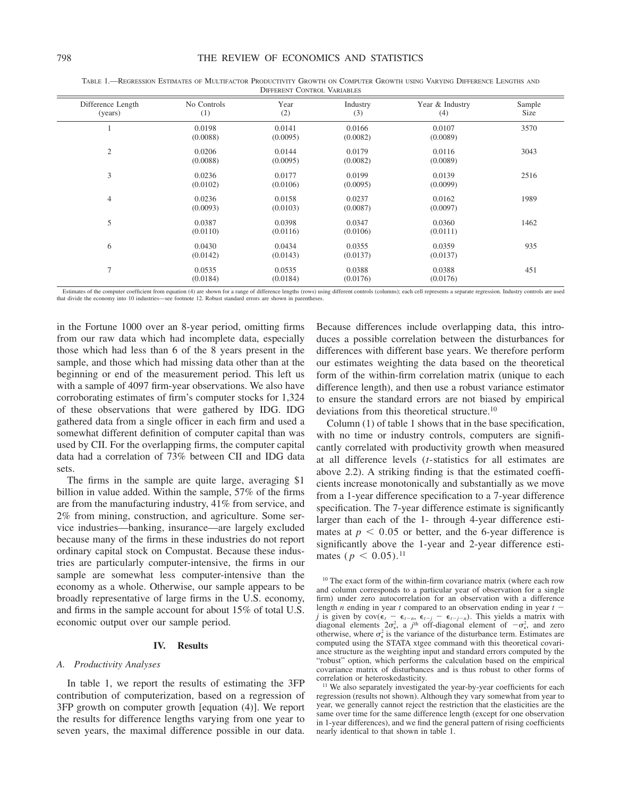| Difference Length<br>(years) | No Controls<br>(1) | Year<br>(2)        | Industry<br>(3)    | Year & Industry<br>(4) | Sample<br>Size |
|------------------------------|--------------------|--------------------|--------------------|------------------------|----------------|
|                              | 0.0198<br>(0.0088) | 0.0141<br>(0.0095) | 0.0166<br>(0.0082) | 0.0107<br>(0.0089)     | 3570           |
| 2                            | 0.0206<br>(0.0088) | 0.0144<br>(0.0095) | 0.0179<br>(0.0082) | 0.0116<br>(0.0089)     | 3043           |
| 3                            | 0.0236<br>(0.0102) | 0.0177<br>(0.0106) | 0.0199<br>(0.0095) | 0.0139<br>(0.0099)     | 2516           |
| $\overline{4}$               | 0.0236<br>(0.0093) | 0.0158<br>(0.0103) | 0.0237<br>(0.0087) | 0.0162<br>(0.0097)     | 1989           |
| 5                            | 0.0387<br>(0.0110) | 0.0398<br>(0.0116) | 0.0347<br>(0.0106) | 0.0360<br>(0.0111)     | 1462           |
| 6                            | 0.0430<br>(0.0142) | 0.0434<br>(0.0143) | 0.0355<br>(0.0137) | 0.0359<br>(0.0137)     | 935            |
| 7                            | 0.0535<br>(0.0184) | 0.0535<br>(0.0184) | 0.0388<br>(0.0176) | 0.0388<br>(0.0176)     | 451            |

TABLE 1.—REGRESSION ESTIMATES OF MULTIFACTOR PRODUCTIVITY GROWTH ON COMPUTER GROWTH USING VARYING DIFFERENCE LENGTHS AND DIFFERENT CONTROL VARIABLES

Estimates of the computer coefficient from equation (4) are shown for a range of difference lengths (rows) using different controls (columns); each cell represents a separate regression. Industry controls are used that divide the economy into 10 industries—see footnote 12. Robust standard errors are shown in parentheses.

in the Fortune 1000 over an 8-year period, omitting firms from our raw data which had incomplete data, especially those which had less than 6 of the 8 years present in the sample, and those which had missing data other than at the beginning or end of the measurement period. This left us with a sample of 4097 firm-year observations. We also have corroborating estimates of firm's computer stocks for 1,324 of these observations that were gathered by IDG. IDG gathered data from a single officer in each firm and used a somewhat different definition of computer capital than was used by CII. For the overlapping firms, the computer capital data had a correlation of 73% between CII and IDG data sets.

The firms in the sample are quite large, averaging \$1 billion in value added. Within the sample, 57% of the firms are from the manufacturing industry, 41% from service, and 2% from mining, construction, and agriculture. Some service industries—banking, insurance—are largely excluded because many of the firms in these industries do not report ordinary capital stock on Compustat. Because these industries are particularly computer-intensive, the firms in our sample are somewhat less computer-intensive than the economy as a whole. Otherwise, our sample appears to be broadly representative of large firms in the U.S. economy, and firms in the sample account for about 15% of total U.S. economic output over our sample period.

## **IV. Results**

## *A. Productivity Analyses*

In table 1, we report the results of estimating the 3FP contribution of computerization, based on a regression of 3FP growth on computer growth [equation (4)]. We report the results for difference lengths varying from one year to seven years, the maximal difference possible in our data. Because differences include overlapping data, this introduces a possible correlation between the disturbances for differences with different base years. We therefore perform our estimates weighting the data based on the theoretical form of the within-firm correlation matrix (unique to each difference length), and then use a robust variance estimator to ensure the standard errors are not biased by empirical deviations from this theoretical structure.10

Column (1) of table 1 shows that in the base specification, with no time or industry controls, computers are significantly correlated with productivity growth when measured at all difference levels (*t*-statistics for all estimates are above 2.2). A striking finding is that the estimated coefficients increase monotonically and substantially as we move from a 1-year difference specification to a 7-year difference specification. The 7-year difference estimate is significantly larger than each of the 1- through 4-year difference estimates at  $p < 0.05$  or better, and the 6-year difference is significantly above the 1-year and 2-year difference estimates ( $p < 0.05$ ).<sup>11</sup>

<sup>10</sup> The exact form of the within-firm covariance matrix (where each row and column corresponds to a particular year of observation for a single firm) under zero autocorrelation for an observation with a difference length *n* ending in year *t* compared to an observation ending in year *t j* is given by  $cov(\epsilon_i - \epsilon_{i-n}, \epsilon_{i-j} - \epsilon_{i-j-n})$ . This yields a matrix with diagonal elements  $2\sigma_{\epsilon}^2$ , a *j*<sup>th</sup> off-diagonal element of  $-\sigma_{\epsilon}^2$ , and zero otherwise, where  $\sigma_{\epsilon}^2$  is the variance of the disturbance term. Estimates are computed using the STATA xtgee command with this theoretical covariance structure as the weighting input and standard errors computed by the "robust" option, which performs the calculation based on the empirical covariance matrix of disturbances and is thus robust to other forms of correlation or heteroskedasticity.

<sup>11</sup> We also separately investigated the year-by-year coefficients for each regression (results not shown). Although they vary somewhat from year to year, we generally cannot reject the restriction that the elasticities are the same over time for the same difference length (except for one observation in 1-year differences), and we find the general pattern of rising coefficients nearly identical to that shown in table 1.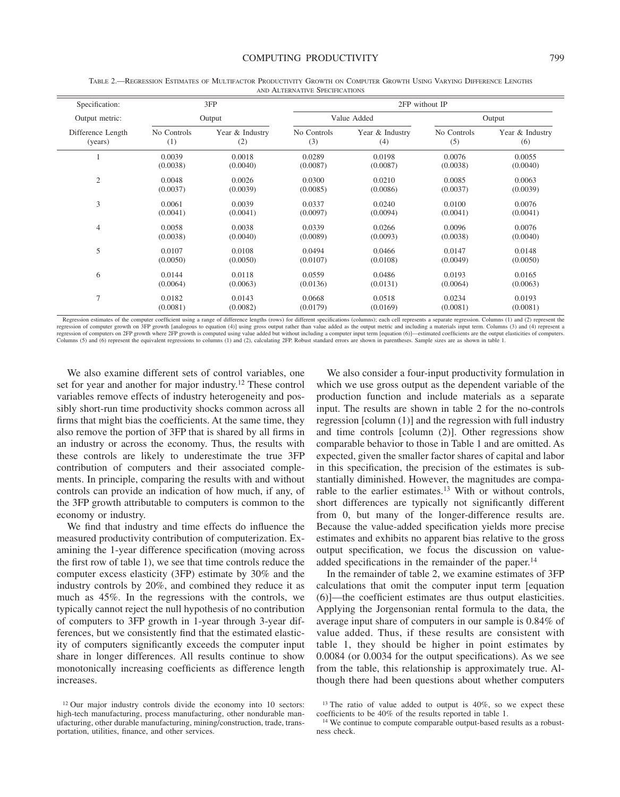| Specification:    | 3FP         |                 |             | 2FP without IP  |             |                 |
|-------------------|-------------|-----------------|-------------|-----------------|-------------|-----------------|
| Output metric:    | Output      |                 | Value Added |                 | Output      |                 |
| Difference Length | No Controls | Year & Industry | No Controls | Year & Industry | No Controls | Year & Industry |
| (years)           | (1)         | (2)             | (3)         | (4)             | (5)         | (6)             |
|                   | 0.0039      | 0.0018          | 0.0289      | 0.0198          | 0.0076      | 0.0055          |
|                   | (0.0038)    | (0.0040)        | (0.0087)    | (0.0087)        | (0.0038)    | (0.0040)        |
| $\mathfrak{2}$    | 0.0048      | 0.0026          | 0.0300      | 0.0210          | 0.0085      | 0.0063          |
|                   | (0.0037)    | (0.0039)        | (0.0085)    | (0.0086)        | (0.0037)    | (0.0039)        |
| 3                 | 0.0061      | 0.0039          | 0.0337      | 0.0240          | 0.0100      | 0.0076          |
|                   | (0.0041)    | (0.0041)        | (0.0097)    | (0.0094)        | (0.0041)    | (0.0041)        |
| $\overline{4}$    | 0.0058      | 0.0038          | 0.0339      | 0.0266          | 0.0096      | 0.0076          |
|                   | (0.0038)    | (0.0040)        | (0.0089)    | (0.0093)        | (0.0038)    | (0.0040)        |
| 5                 | 0.0107      | 0.0108          | 0.0494      | 0.0466          | 0.0147      | 0.0148          |
|                   | (0.0050)    | (0.0050)        | (0.0107)    | (0.0108)        | (0.0049)    | (0.0050)        |
| 6                 | 0.0144      | 0.0118          | 0.0559      | 0.0486          | 0.0193      | 0.0165          |
|                   | (0.0064)    | (0.0063)        | (0.0136)    | (0.0131)        | (0.0064)    | (0.0063)        |
| 7                 | 0.0182      | 0.0143          | 0.0668      | 0.0518          | 0.0234      | 0.0193          |
|                   | (0.0081)    | (0.0082)        | (0.0179)    | (0.0169)        | (0.0081)    | (0.0081)        |

TABLE 2.—REGRESSION ESTIMATES OF MULTIFACTOR PRODUCTIVITY GROWTH ON COMPUTER GROWTH USING VARYING DIFFERENCE LENGTHS AND ALTERNATIVE SPECIFICATIONS

Regression estimates of the computer coefficient using a range of difference lengths (rows) for different specifications (columns); each cell represents a separate regression. Columns (1) and (2) represent the regression of computer growth on 3FP growth [analogous to equation (4)] using gross output rather than value added as the output metric and including a materials input term. Columns (3) and (4) represent a regression of computers on 2FP growth where 2FP growth is computed using value added but without including a computer input term [equation (6)]—estimated coefficients are the output elasticities of computers. Columns (5) and (6) represent the equivalent regressions to columns (1) and (2), calculating 2FP. Robust standard errors are shown in parentheses. Sample sizes are as shown in table 1.

We also examine different sets of control variables, one set for year and another for major industry.12 These control variables remove effects of industry heterogeneity and possibly short-run time productivity shocks common across all firms that might bias the coefficients. At the same time, they also remove the portion of 3FP that is shared by all firms in an industry or across the economy. Thus, the results with these controls are likely to underestimate the true 3FP contribution of computers and their associated complements. In principle, comparing the results with and without controls can provide an indication of how much, if any, of the 3FP growth attributable to computers is common to the economy or industry.

We find that industry and time effects do influence the measured productivity contribution of computerization. Examining the 1-year difference specification (moving across the first row of table 1), we see that time controls reduce the computer excess elasticity (3FP) estimate by 30% and the industry controls by 20%, and combined they reduce it as much as 45%. In the regressions with the controls, we typically cannot reject the null hypothesis of no contribution of computers to 3FP growth in 1-year through 3-year differences, but we consistently find that the estimated elasticity of computers significantly exceeds the computer input share in longer differences. All results continue to show monotonically increasing coefficients as difference length increases.

<sup>12</sup> Our major industry controls divide the economy into 10 sectors: high-tech manufacturing, process manufacturing, other nondurable manufacturing, other durable manufacturing, mining/construction, trade, transportation, utilities, finance, and other services.

We also consider a four-input productivity formulation in which we use gross output as the dependent variable of the production function and include materials as a separate input. The results are shown in table 2 for the no-controls regression [column (1)] and the regression with full industry and time controls [column (2)]. Other regressions show comparable behavior to those in Table 1 and are omitted. As expected, given the smaller factor shares of capital and labor in this specification, the precision of the estimates is substantially diminished. However, the magnitudes are comparable to the earlier estimates.13 With or without controls, short differences are typically not significantly different from 0, but many of the longer-difference results are. Because the value-added specification yields more precise estimates and exhibits no apparent bias relative to the gross output specification, we focus the discussion on valueadded specifications in the remainder of the paper.14

In the remainder of table 2, we examine estimates of 3FP calculations that omit the computer input term [equation (6)]—the coefficient estimates are thus output elasticities. Applying the Jorgensonian rental formula to the data, the average input share of computers in our sample is 0.84% of value added. Thus, if these results are consistent with table 1, they should be higher in point estimates by 0.0084 (or 0.0034 for the output specifications). As we see from the table, this relationship is approximately true. Although there had been questions about whether computers

<sup>&</sup>lt;sup>13</sup> The ratio of value added to output is 40%, so we expect these coefficients to be 40% of the results reported in table 1.

<sup>&</sup>lt;sup>14</sup> We continue to compute comparable output-based results as a robustness check.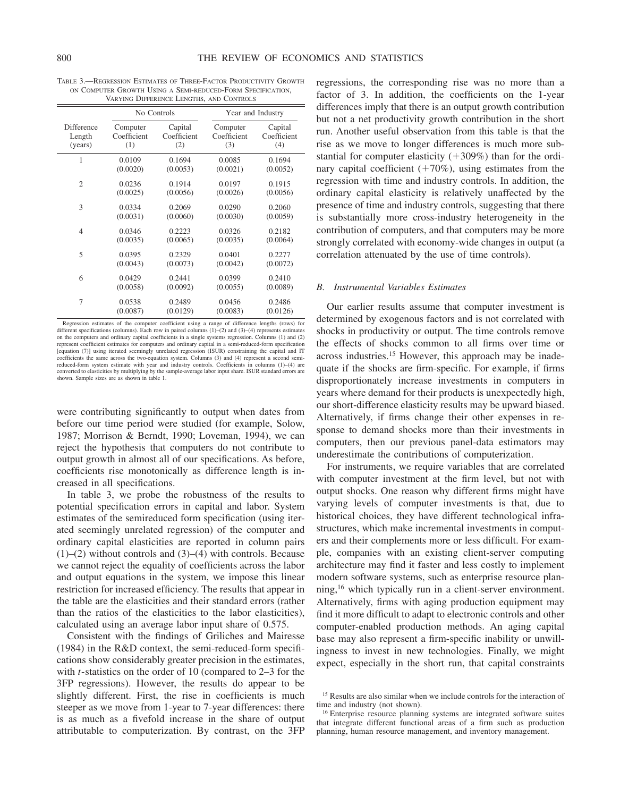TABLE 3.—REGRESSION ESTIMATES OF THREE-FACTOR PRODUCTIVITY GROWTH ON COMPUTER GROWTH USING A SEMI-REDUCED-FORM SPECIFICATION, VARYING DIFFERENCE LENGTHS, AND CONTROLS

|                | No Controls |             |             | Year and Industry |
|----------------|-------------|-------------|-------------|-------------------|
| Difference     | Computer    | Capital     | Computer    | Capital           |
| Length         | Coefficient | Coefficient | Coefficient | Coefficient       |
| (years)        | (1)         | (2)         | (3)         | (4)               |
| 1              | 0.0109      | 0.1694      | 0.0085      | 0.1694            |
|                | (0.0020)    | (0.0053)    | (0.0021)    | (0.0052)          |
| $\overline{2}$ | 0.0236      | 0.1914      | 0.0197      | 0.1915            |
|                | (0.0025)    | (0.0056)    | (0.0026)    | (0.0056)          |
| 3              | 0.0334      | 0.2069      | 0.0290      | 0.2060            |
|                | (0.0031)    | (0.0060)    | (0.0030)    | (0.0059)          |
| $\overline{4}$ | 0.0346      | 0.2223      | 0.0326      | 0.2182            |
|                | (0.0035)    | (0.0065)    | (0.0035)    | (0.0064)          |
| 5              | 0.0395      | 0.2329      | 0.0401      | 0.2277            |
|                | (0.0043)    | (0.0073)    | (0.0042)    | (0.0072)          |
| 6              | 0.0429      | 0.2441      | 0.0399      | 0.2410            |
|                | (0.0058)    | (0.0092)    | (0.0055)    | (0.0089)          |
| 7              | 0.0538      | 0.2489      | 0.0456      | 0.2486            |
|                | (0.0087)    | (0.0129)    | (0.0083)    | (0.0126)          |

Regression estimates of the computer coefficient using a range of difference lengths (rows) for different specifications (columns). Each row in paired columns (1)–(2) and (3)–(4) represents estimates on the computers and ordinary capital coefficients in a single systems regression. Columns (1) and (2) represent coefficient estimates for computers and ordinary capital in a semi-reduced-form specification [equation (7)] using iterated seemingly unrelated regression (ISUR) constraining the capital and IT coefficients the same across the two-equation system. Columns (3) and (4) represent a second semireduced-form system estimate with year and industry controls. Coefficients in columns (1)–(4) are converted to elasticities by multiplying by the sample-average labor input share. ISUR standard errors are shown. Sample sizes are as shown in table 1.

were contributing significantly to output when dates from before our time period were studied (for example, Solow, 1987; Morrison & Berndt, 1990; Loveman, 1994), we can reject the hypothesis that computers do not contribute to output growth in almost all of our specifications. As before, coefficients rise monotonically as difference length is increased in all specifications.

In table 3, we probe the robustness of the results to potential specification errors in capital and labor. System estimates of the semireduced form specification (using iterated seemingly unrelated regression) of the computer and ordinary capital elasticities are reported in column pairs  $(1)$ – $(2)$  without controls and  $(3)$ – $(4)$  with controls. Because we cannot reject the equality of coefficients across the labor and output equations in the system, we impose this linear restriction for increased efficiency. The results that appear in the table are the elasticities and their standard errors (rather than the ratios of the elasticities to the labor elasticities), calculated using an average labor input share of 0.575.

Consistent with the findings of Griliches and Mairesse (1984) in the R&D context, the semi-reduced-form specifications show considerably greater precision in the estimates, with *t*-statistics on the order of 10 (compared to 2–3 for the 3FP regressions). However, the results do appear to be slightly different. First, the rise in coefficients is much steeper as we move from 1-year to 7-year differences: there is as much as a fivefold increase in the share of output attributable to computerization. By contrast, on the 3FP regressions, the corresponding rise was no more than a factor of 3. In addition, the coefficients on the 1-year differences imply that there is an output growth contribution but not a net productivity growth contribution in the short run. Another useful observation from this table is that the rise as we move to longer differences is much more substantial for computer elasticity  $(+309%)$  than for the ordinary capital coefficient  $(+70\%)$ , using estimates from the regression with time and industry controls. In addition, the ordinary capital elasticity is relatively unaffected by the presence of time and industry controls, suggesting that there is substantially more cross-industry heterogeneity in the contribution of computers, and that computers may be more strongly correlated with economy-wide changes in output (a correlation attenuated by the use of time controls).

## *B. Instrumental Variables Estimates*

Our earlier results assume that computer investment is determined by exogenous factors and is not correlated with shocks in productivity or output. The time controls remove the effects of shocks common to all firms over time or across industries.15 However, this approach may be inadequate if the shocks are firm-specific. For example, if firms disproportionately increase investments in computers in years where demand for their products is unexpectedly high, our short-difference elasticity results may be upward biased. Alternatively, if firms change their other expenses in response to demand shocks more than their investments in computers, then our previous panel-data estimators may underestimate the contributions of computerization.

For instruments, we require variables that are correlated with computer investment at the firm level, but not with output shocks. One reason why different firms might have varying levels of computer investments is that, due to historical choices, they have different technological infrastructures, which make incremental investments in computers and their complements more or less difficult. For example, companies with an existing client-server computing architecture may find it faster and less costly to implement modern software systems, such as enterprise resource planning,16 which typically run in a client-server environment. Alternatively, firms with aging production equipment may find it more difficult to adapt to electronic controls and other computer-enabled production methods. An aging capital base may also represent a firm-specific inability or unwillingness to invest in new technologies. Finally, we might expect, especially in the short run, that capital constraints

<sup>15</sup> Results are also similar when we include controls for the interaction of time and industry (not shown).

<sup>16</sup> Enterprise resource planning systems are integrated software suites that integrate different functional areas of a firm such as production planning, human resource management, and inventory management.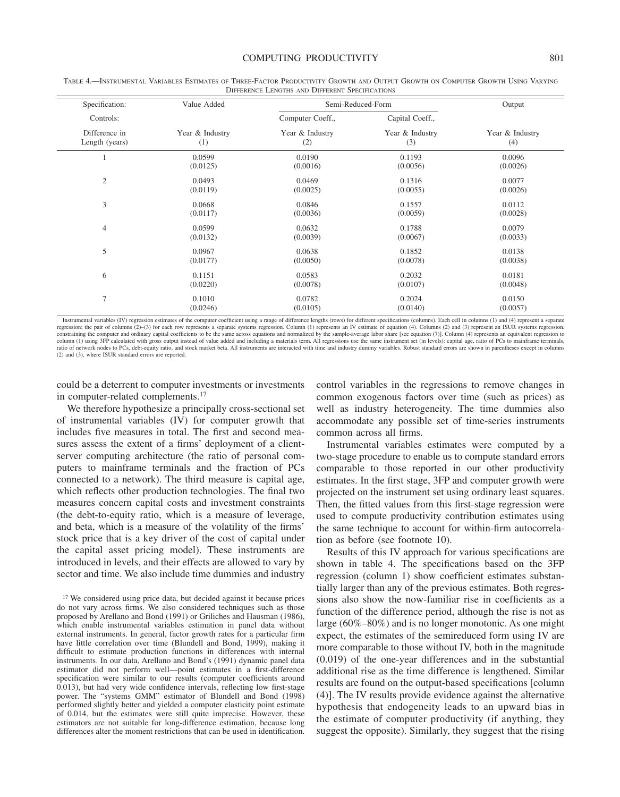| Specification: | Value Added     | Semi-Reduced-Form |                 | Output          |
|----------------|-----------------|-------------------|-----------------|-----------------|
| Controls:      |                 | Computer Coeff.,  | Capital Coeff., |                 |
| Difference in  | Year & Industry | Year & Industry   | Year & Industry | Year & Industry |
| Length (years) | (1)             | (2)               | (3)             | (4)             |
|                | 0.0599          | 0.0190            | 0.1193          | 0.0096          |
|                | (0.0125)        | (0.0016)          | (0.0056)        | (0.0026)        |
| $\mathfrak{2}$ | 0.0493          | 0.0469            | 0.1316          | 0.0077          |
|                | (0.0119)        | (0.0025)          | (0.0055)        | (0.0026)        |
| 3              | 0.0668          | 0.0846            | 0.1557          | 0.0112          |
|                | (0.0117)        | (0.0036)          | (0.0059)        | (0.0028)        |
| $\overline{4}$ | 0.0599          | 0.0632            | 0.1788          | 0.0079          |
|                | (0.0132)        | (0.0039)          | (0.0067)        | (0.0033)        |
| 5              | 0.0967          | 0.0638            | 0.1852          | 0.0138          |
|                | (0.0177)        | (0.0050)          | (0.0078)        | (0.0038)        |
| 6              | 0.1151          | 0.0583            | 0.2032          | 0.0181          |
|                | (0.0220)        | (0.0078)          | (0.0107)        | (0.0048)        |
| $\overline{7}$ | 0.1010          | 0.0782            | 0.2024          | 0.0150          |
|                | (0.0246)        | (0.0105)          | (0.0140)        | (0.0057)        |

TABLE 4.—INSTRUMENTAL VARIABLES ESTIMATES OF THREE-FACTOR PRODUCTIVITY GROWTH AND OUTPUT GROWTH ON COMPUTER GROWTH USING VARYING DIFFERENCE LENGTHS AND DIFFERENT SPECIFICATIONS

Instrumental variables (IV) regression estimates of the computer coefficient using a range of difference lengths (rows) for different specifications (columns). Each cell in columns (1) and (4) represent a separate regression; the pair of columns (2)–(3) for each row represents a separate systems regression. Column (1) represents an IV estimate of equation (4). Columns (2) and (3) represent an ISUR systems regression, constraining the computer and ordinary capital coefficients to be the same across equations and normalized by the sample-average labor share [see equation (7)]. Column (4) represents an equivalent regression to column (1) using 3FP calculated with gross output instead of value added and including a materials term. All regressions use the same instrument set (in levels): capital age, ratio of PCs to mainframe terminals,<br>ratio of n (2) and (3), where ISUR standard errors are reported.

could be a deterrent to computer investments or investments in computer-related complements.17

We therefore hypothesize a principally cross-sectional set of instrumental variables (IV) for computer growth that includes five measures in total. The first and second measures assess the extent of a firms' deployment of a clientserver computing architecture (the ratio of personal computers to mainframe terminals and the fraction of PCs connected to a network). The third measure is capital age, which reflects other production technologies. The final two measures concern capital costs and investment constraints (the debt-to-equity ratio, which is a measure of leverage, and beta, which is a measure of the volatility of the firms' stock price that is a key driver of the cost of capital under the capital asset pricing model). These instruments are introduced in levels, and their effects are allowed to vary by sector and time. We also include time dummies and industry

control variables in the regressions to remove changes in common exogenous factors over time (such as prices) as well as industry heterogeneity. The time dummies also accommodate any possible set of time-series instruments common across all firms.

Instrumental variables estimates were computed by a two-stage procedure to enable us to compute standard errors comparable to those reported in our other productivity estimates. In the first stage, 3FP and computer growth were projected on the instrument set using ordinary least squares. Then, the fitted values from this first-stage regression were used to compute productivity contribution estimates using the same technique to account for within-firm autocorrelation as before (see footnote 10).

Results of this IV approach for various specifications are shown in table 4. The specifications based on the 3FP regression (column 1) show coefficient estimates substantially larger than any of the previous estimates. Both regressions also show the now-familiar rise in coefficients as a function of the difference period, although the rise is not as large (60%–80%) and is no longer monotonic. As one might expect, the estimates of the semireduced form using IV are more comparable to those without IV, both in the magnitude (0.019) of the one-year differences and in the substantial additional rise as the time difference is lengthened. Similar results are found on the output-based specifications [column (4)]. The IV results provide evidence against the alternative hypothesis that endogeneity leads to an upward bias in the estimate of computer productivity (if anything, they suggest the opposite). Similarly, they suggest that the rising

<sup>&</sup>lt;sup>17</sup> We considered using price data, but decided against it because prices do not vary across firms. We also considered techniques such as those proposed by Arellano and Bond (1991) or Griliches and Hausman (1986), which enable instrumental variables estimation in panel data without external instruments. In general, factor growth rates for a particular firm have little correlation over time (Blundell and Bond, 1999), making it difficult to estimate production functions in differences with internal instruments. In our data, Arellano and Bond's (1991) dynamic panel data estimator did not perform well—point estimates in a first-difference specification were similar to our results (computer coefficients around 0.013), but had very wide confidence intervals, reflecting low first-stage power. The "systems GMM" estimator of Blundell and Bond (1998) performed slightly better and yielded a computer elasticity point estimate of 0.014, but the estimates were still quite imprecise. However, these estimators are not suitable for long-difference estimation, because long differences alter the moment restrictions that can be used in identification.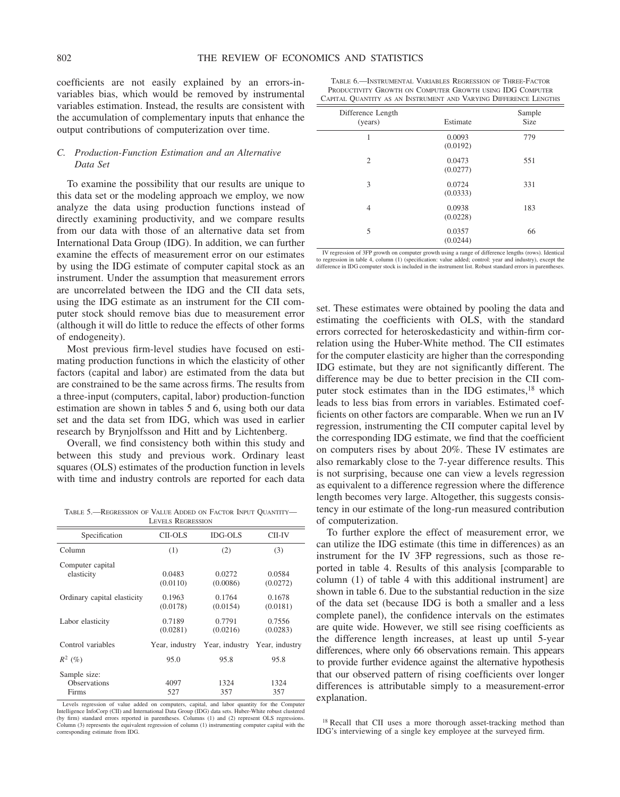coefficients are not easily explained by an errors-invariables bias, which would be removed by instrumental variables estimation. Instead, the results are consistent with the accumulation of complementary inputs that enhance the output contributions of computerization over time.

## *C. Production-Function Estimation and an Alternative Data Set*

To examine the possibility that our results are unique to this data set or the modeling approach we employ, we now analyze the data using production functions instead of directly examining productivity, and we compare results from our data with those of an alternative data set from International Data Group (IDG). In addition, we can further examine the effects of measurement error on our estimates by using the IDG estimate of computer capital stock as an instrument. Under the assumption that measurement errors are uncorrelated between the IDG and the CII data sets, using the IDG estimate as an instrument for the CII computer stock should remove bias due to measurement error (although it will do little to reduce the effects of other forms of endogeneity).

Most previous firm-level studies have focused on estimating production functions in which the elasticity of other factors (capital and labor) are estimated from the data but are constrained to be the same across firms. The results from a three-input (computers, capital, labor) production-function estimation are shown in tables 5 and 6, using both our data set and the data set from IDG, which was used in earlier research by Brynjolfsson and Hitt and by Lichtenberg.

Overall, we find consistency both within this study and between this study and previous work. Ordinary least squares (OLS) estimates of the production function in levels with time and industry controls are reported for each data

TABLE 5.—REGRESSION OF VALUE ADDED ON FACTOR INPUT QUANTITY— LEVELS REGRESSION

| Specification               | <b>CII-OLS</b> | $IDG-OLS$      | CII-IV         |
|-----------------------------|----------------|----------------|----------------|
| Column                      | (1)            | (2)            | (3)            |
| Computer capital            |                |                |                |
| elasticity                  | 0.0483         | 0.0272         | 0.0584         |
|                             | (0.0110)       | (0.0086)       | (0.0272)       |
| Ordinary capital elasticity | 0.1963         | 0.1764         | 0.1678         |
|                             | (0.0178)       | (0.0154)       | (0.0181)       |
| Labor elasticity            | 0.7189         | 0.7791         | 0.7556         |
|                             | (0.0281)       | (0.0216)       | (0.0283)       |
| Control variables           | Year, industry | Year, industry | Year, industry |
| $R^2$ (%)                   | 95.0           | 95.8           | 95.8           |
| Sample size:                |                |                |                |
| <b>Observations</b>         | 4097           | 1324           | 1324           |
| Firms                       | 527            | 357            | 357            |

Levels regression of value added on computers, capital, and labor quantity for the Computer Intelligence InfoCorp (CII) and International Data Group (IDG) data sets. Huber-White robust clustered (by firm) standard errors reported in parentheses. Columns (1) and (2) represent OLS regressions. Column (3) represents the equivalent regression of column (1) instrumenting computer capital with the corresponding estimate from IDG.

TABLE 6.—INSTRUMENTAL VARIABLES REGRESSION OF THREE-FACTOR PRODUCTIVITY GROWTH ON COMPUTER GROWTH USING IDG COMPUTER CAPITAL QUANTITY AS AN INSTRUMENT AND VARYING DIFFERENCE LENGTHS

| Difference Length<br>(years) | Estimate           | Sample<br>Size |
|------------------------------|--------------------|----------------|
| 1                            | 0.0093<br>(0.0192) | 779            |
| 2                            | 0.0473<br>(0.0277) | 551            |
| 3                            | 0.0724<br>(0.0333) | 331            |
| $\overline{4}$               | 0.0938<br>(0.0228) | 183            |
| 5                            | 0.0357<br>(0.0244) | 66             |

IV regression of 3FP growth on computer growth using a range of difference lengths (rows). Identical to regression in table 4, column (1) (specification: value added; control: year and industry), except the difference in IDG computer stock is included in the instrument list. Robust standard errors in parentheses.

set. These estimates were obtained by pooling the data and estimating the coefficients with OLS, with the standard errors corrected for heteroskedasticity and within-firm correlation using the Huber-White method. The CII estimates for the computer elasticity are higher than the corresponding IDG estimate, but they are not significantly different. The difference may be due to better precision in the CII computer stock estimates than in the IDG estimates,<sup>18</sup> which leads to less bias from errors in variables. Estimated coefficients on other factors are comparable. When we run an IV regression, instrumenting the CII computer capital level by the corresponding IDG estimate, we find that the coefficient on computers rises by about 20%. These IV estimates are also remarkably close to the 7-year difference results. This is not surprising, because one can view a levels regression as equivalent to a difference regression where the difference length becomes very large. Altogether, this suggests consistency in our estimate of the long-run measured contribution of computerization.

To further explore the effect of measurement error, we can utilize the IDG estimate (this time in differences) as an instrument for the IV 3FP regressions, such as those reported in table 4. Results of this analysis [comparable to column (1) of table 4 with this additional instrument] are shown in table 6. Due to the substantial reduction in the size of the data set (because IDG is both a smaller and a less complete panel), the confidence intervals on the estimates are quite wide. However, we still see rising coefficients as the difference length increases, at least up until 5-year differences, where only 66 observations remain. This appears to provide further evidence against the alternative hypothesis that our observed pattern of rising coefficients over longer differences is attributable simply to a measurement-error explanation.

<sup>18</sup> Recall that CII uses a more thorough asset-tracking method than IDG's interviewing of a single key employee at the surveyed firm.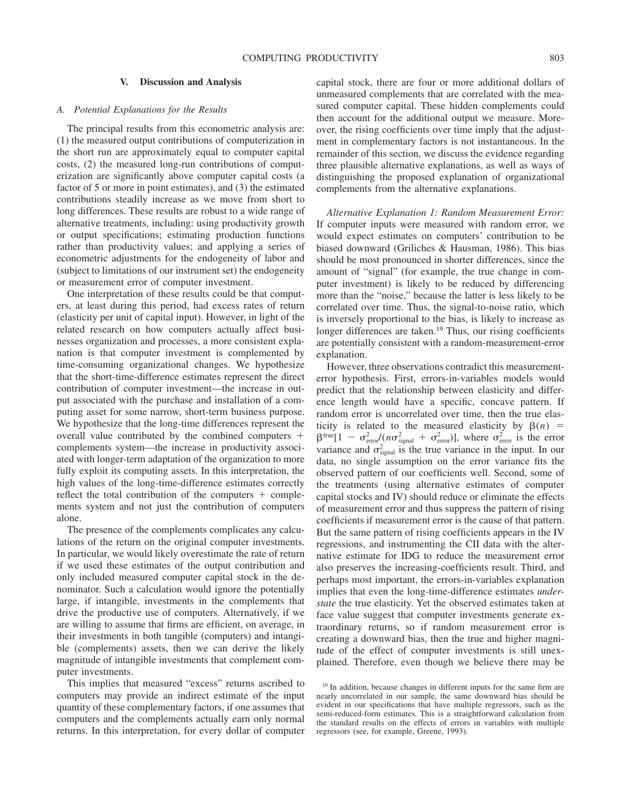## **V. Discussion and Analysis**

## *A. Potential Explanations for the Results*

The principal results from this econometric analysis are: (1) the measured output contributions of computerization in the short run are approximately equal to computer capital costs, (2) the measured long-run contributions of computerization are significantly above computer capital costs (a factor of 5 or more in point estimates), and (3) the estimated contributions steadily increase as we move from short to long differences. These results are robust to a wide range of alternative treatments, including: using productivity growth or output specifications; estimating production functions rather than productivity values; and applying a series of econometric adjustments for the endogeneity of labor and (subject to limitations of our instrument set) the endogeneity or measurement error of computer investment.

One interpretation of these results could be that computers, at least during this period, had excess rates of return (elasticity per unit of capital input). However, in light of the related research on how computers actually affect businesses organization and processes, a more consistent explanation is that computer investment is complemented by time-consuming organizational changes. We hypothesize that the short-time-difference estimates represent the direct contribution of computer investment—the increase in output associated with the purchase and installation of a computing asset for some narrow, short-term business purpose. We hypothesize that the long-time differences represent the overall value contributed by the combined computers complements system—the increase in productivity associated with longer-term adaptation of the organization to more fully exploit its computing assets. In this interpretation, the high values of the long-time-difference estimates correctly reflect the total contribution of the computers  $+$  complements system and not just the contribution of computers alone.

The presence of the complements complicates any calculations of the return on the original computer investments. In particular, we would likely overestimate the rate of return if we used these estimates of the output contribution and only included measured computer capital stock in the denominator. Such a calculation would ignore the potentially large, if intangible, investments in the complements that drive the productive use of computers. Alternatively, if we are willing to assume that firms are efficient, on average, in their investments in both tangible (computers) and intangible (complements) assets, then we can derive the likely magnitude of intangible investments that complement computer investments.

This implies that measured "excess" returns ascribed to computers may provide an indirect estimate of the input quantity of these complementary factors, if one assumes that computers and the complements actually earn only normal returns. In this interpretation, for every dollar of computer capital stock, there are four or more additional dollars of unmeasured complements that are correlated with the measured computer capital. These hidden complements could then account for the additional output we measure. Moreover, the rising coefficients over time imply that the adjustment in complementary factors is not instantaneous. In the remainder of this section, we discuss the evidence regarding three plausible alternative explanations, as well as ways of distinguishing the proposed explanation of organizational complements from the alternative explanations.

*Alternative Explanation 1: Random Measurement Error:* If computer inputs were measured with random error, we would expect estimates on computers' contribution to be biased downward (Griliches & Hausman, 1986). This bias should be most pronounced in shorter differences, since the amount of "signal" (for example, the true change in computer investment) is likely to be reduced by differencing more than the "noise," because the latter is less likely to be correlated over time. Thus, the signal-to-noise ratio, which is inversely proportional to the bias, is likely to increase as longer differences are taken.<sup>19</sup> Thus, our rising coefficients are potentially consistent with a random-measurement-error explanation.

However, three observations contradict this measurementerror hypothesis. First, errors-in-variables models would predict that the relationship between elasticity and difference length would have a specific, concave pattern. If random error is uncorrelated over time, then the true elasticity is related to the measured elasticity by  $\beta(n)$  =  $\beta^{\text{true}}[1 - \sigma_{\text{error}}^2/((n\sigma_{\text{signal}}^2 + \sigma_{\text{error}}^2)],$  where  $\sigma_{\text{error}}^2$  is the error variance and  $\sigma_{signal}^2$  is the true variance in the input. In our data, no single assumption on the error variance fits the observed pattern of our coefficients well. Second, some of the treatments (using alternative estimates of computer capital stocks and IV) should reduce or eliminate the effects of measurement error and thus suppress the pattern of rising coefficients if measurement error is the cause of that pattern. But the same pattern of rising coefficients appears in the IV regressions, and instrumenting the CII data with the alternative estimate for IDG to reduce the measurement error also preserves the increasing-coefficients result. Third, and perhaps most important, the errors-in-variables explanation implies that even the long-time-difference estimates *understate* the true elasticity. Yet the observed estimates taken at face value suggest that computer investments generate extraordinary returns, so if random measurement error is creating a downward bias, then the true and higher magnitude of the effect of computer investments is still unexplained. Therefore, even though we believe there may be

<sup>&</sup>lt;sup>19</sup> In addition, because changes in different inputs for the same firm are nearly uncorrelated in our sample, the same downward bias should be evident in our specifications that have multiple regressors, such as the semi-reduced-form estimates. This is a straightforward calculation from the standard results on the effects of errors in variables with multiple regressors (see, for example, Greene, 1993).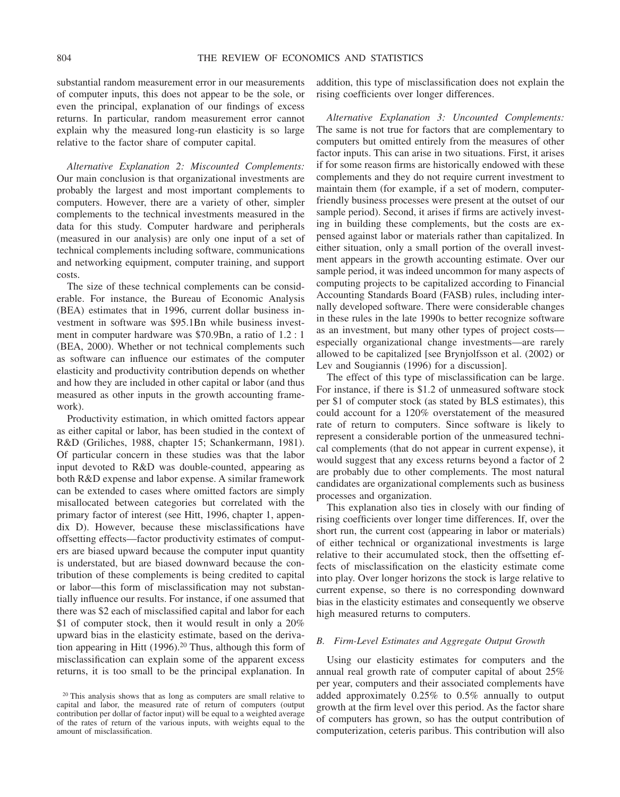substantial random measurement error in our measurements of computer inputs, this does not appear to be the sole, or even the principal, explanation of our findings of excess returns. In particular, random measurement error cannot explain why the measured long-run elasticity is so large relative to the factor share of computer capital.

*Alternative Explanation 2: Miscounted Complements:* Our main conclusion is that organizational investments are probably the largest and most important complements to computers. However, there are a variety of other, simpler complements to the technical investments measured in the data for this study. Computer hardware and peripherals (measured in our analysis) are only one input of a set of technical complements including software, communications and networking equipment, computer training, and support costs.

The size of these technical complements can be considerable. For instance, the Bureau of Economic Analysis (BEA) estimates that in 1996, current dollar business investment in software was \$95.1Bn while business investment in computer hardware was \$70.9Bn, a ratio of 1.2 : 1 (BEA, 2000). Whether or not technical complements such as software can influence our estimates of the computer elasticity and productivity contribution depends on whether and how they are included in other capital or labor (and thus measured as other inputs in the growth accounting framework).

Productivity estimation, in which omitted factors appear as either capital or labor, has been studied in the context of R&D (Griliches, 1988, chapter 15; Schankermann, 1981). Of particular concern in these studies was that the labor input devoted to R&D was double-counted, appearing as both R&D expense and labor expense. A similar framework can be extended to cases where omitted factors are simply misallocated between categories but correlated with the primary factor of interest (see Hitt, 1996, chapter 1, appendix D). However, because these misclassifications have offsetting effects—factor productivity estimates of computers are biased upward because the computer input quantity is understated, but are biased downward because the contribution of these complements is being credited to capital or labor—this form of misclassification may not substantially influence our results. For instance, if one assumed that there was \$2 each of misclassified capital and labor for each \$1 of computer stock, then it would result in only a 20% upward bias in the elasticity estimate, based on the derivation appearing in Hitt (1996).<sup>20</sup> Thus, although this form of misclassification can explain some of the apparent excess returns, it is too small to be the principal explanation. In

addition, this type of misclassification does not explain the rising coefficients over longer differences.

*Alternative Explanation 3: Uncounted Complements:* The same is not true for factors that are complementary to computers but omitted entirely from the measures of other factor inputs. This can arise in two situations. First, it arises if for some reason firms are historically endowed with these complements and they do not require current investment to maintain them (for example, if a set of modern, computerfriendly business processes were present at the outset of our sample period). Second, it arises if firms are actively investing in building these complements, but the costs are expensed against labor or materials rather than capitalized. In either situation, only a small portion of the overall investment appears in the growth accounting estimate. Over our sample period, it was indeed uncommon for many aspects of computing projects to be capitalized according to Financial Accounting Standards Board (FASB) rules, including internally developed software. There were considerable changes in these rules in the late 1990s to better recognize software as an investment, but many other types of project costs especially organizational change investments—are rarely allowed to be capitalized [see Brynjolfsson et al. (2002) or Lev and Sougiannis (1996) for a discussion].

The effect of this type of misclassification can be large. For instance, if there is \$1.2 of unmeasured software stock per \$1 of computer stock (as stated by BLS estimates), this could account for a 120% overstatement of the measured rate of return to computers. Since software is likely to represent a considerable portion of the unmeasured technical complements (that do not appear in current expense), it would suggest that any excess returns beyond a factor of 2 are probably due to other complements. The most natural candidates are organizational complements such as business processes and organization.

This explanation also ties in closely with our finding of rising coefficients over longer time differences. If, over the short run, the current cost (appearing in labor or materials) of either technical or organizational investments is large relative to their accumulated stock, then the offsetting effects of misclassification on the elasticity estimate come into play. Over longer horizons the stock is large relative to current expense, so there is no corresponding downward bias in the elasticity estimates and consequently we observe high measured returns to computers.

## *B. Firm-Level Estimates and Aggregate Output Growth*

Using our elasticity estimates for computers and the annual real growth rate of computer capital of about 25% per year, computers and their associated complements have added approximately 0.25% to 0.5% annually to output growth at the firm level over this period. As the factor share of computers has grown, so has the output contribution of computerization, ceteris paribus. This contribution will also

<sup>&</sup>lt;sup>20</sup> This analysis shows that as long as computers are small relative to capital and labor, the measured rate of return of computers (output contribution per dollar of factor input) will be equal to a weighted average of the rates of return of the various inputs, with weights equal to the amount of misclassification.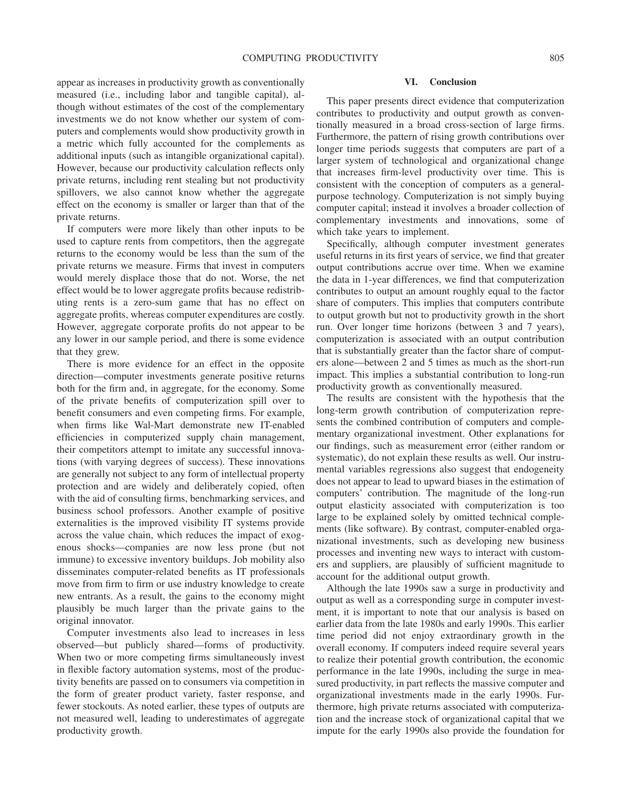appear as increases in productivity growth as conventionally measured (i.e., including labor and tangible capital), although without estimates of the cost of the complementary investments we do not know whether our system of computers and complements would show productivity growth in a metric which fully accounted for the complements as additional inputs (such as intangible organizational capital). However, because our productivity calculation reflects only private returns, including rent stealing but not productivity spillovers, we also cannot know whether the aggregate effect on the economy is smaller or larger than that of the private returns.

If computers were more likely than other inputs to be used to capture rents from competitors, then the aggregate returns to the economy would be less than the sum of the private returns we measure. Firms that invest in computers would merely displace those that do not. Worse, the net effect would be to lower aggregate profits because redistributing rents is a zero-sum game that has no effect on aggregate profits, whereas computer expenditures are costly. However, aggregate corporate profits do not appear to be any lower in our sample period, and there is some evidence that they grew.

There is more evidence for an effect in the opposite direction—computer investments generate positive returns both for the firm and, in aggregate, for the economy. Some of the private benefits of computerization spill over to benefit consumers and even competing firms. For example, when firms like Wal-Mart demonstrate new IT-enabled efficiencies in computerized supply chain management, their competitors attempt to imitate any successful innovations (with varying degrees of success). These innovations are generally not subject to any form of intellectual property protection and are widely and deliberately copied, often with the aid of consulting firms, benchmarking services, and business school professors. Another example of positive externalities is the improved visibility IT systems provide across the value chain, which reduces the impact of exogenous shocks—companies are now less prone (but not immune) to excessive inventory buildups. Job mobility also disseminates computer-related benefits as IT professionals move from firm to firm or use industry knowledge to create new entrants. As a result, the gains to the economy might plausibly be much larger than the private gains to the original innovator.

Computer investments also lead to increases in less observed—but publicly shared—forms of productivity. When two or more competing firms simultaneously invest in flexible factory automation systems, most of the productivity benefits are passed on to consumers via competition in the form of greater product variety, faster response, and fewer stockouts. As noted earlier, these types of outputs are not measured well, leading to underestimates of aggregate productivity growth.

## **VI. Conclusion**

This paper presents direct evidence that computerization contributes to productivity and output growth as conventionally measured in a broad cross-section of large firms. Furthermore, the pattern of rising growth contributions over longer time periods suggests that computers are part of a larger system of technological and organizational change that increases firm-level productivity over time. This is consistent with the conception of computers as a generalpurpose technology. Computerization is not simply buying computer capital; instead it involves a broader collection of complementary investments and innovations, some of which take years to implement.

Specifically, although computer investment generates useful returns in its first years of service, we find that greater output contributions accrue over time. When we examine the data in 1-year differences, we find that computerization contributes to output an amount roughly equal to the factor share of computers. This implies that computers contribute to output growth but not to productivity growth in the short run. Over longer time horizons (between 3 and 7 years), computerization is associated with an output contribution that is substantially greater than the factor share of computers alone—between 2 and 5 times as much as the short-run impact. This implies a substantial contribution to long-run productivity growth as conventionally measured.

The results are consistent with the hypothesis that the long-term growth contribution of computerization represents the combined contribution of computers and complementary organizational investment. Other explanations for our findings, such as measurement error (either random or systematic), do not explain these results as well. Our instrumental variables regressions also suggest that endogeneity does not appear to lead to upward biases in the estimation of computers' contribution. The magnitude of the long-run output elasticity associated with computerization is too large to be explained solely by omitted technical complements (like software). By contrast, computer-enabled organizational investments, such as developing new business processes and inventing new ways to interact with customers and suppliers, are plausibly of sufficient magnitude to account for the additional output growth.

Although the late 1990s saw a surge in productivity and output as well as a corresponding surge in computer investment, it is important to note that our analysis is based on earlier data from the late 1980s and early 1990s. This earlier time period did not enjoy extraordinary growth in the overall economy. If computers indeed require several years to realize their potential growth contribution, the economic performance in the late 1990s, including the surge in measured productivity, in part reflects the massive computer and organizational investments made in the early 1990s. Furthermore, high private returns associated with computerization and the increase stock of organizational capital that we impute for the early 1990s also provide the foundation for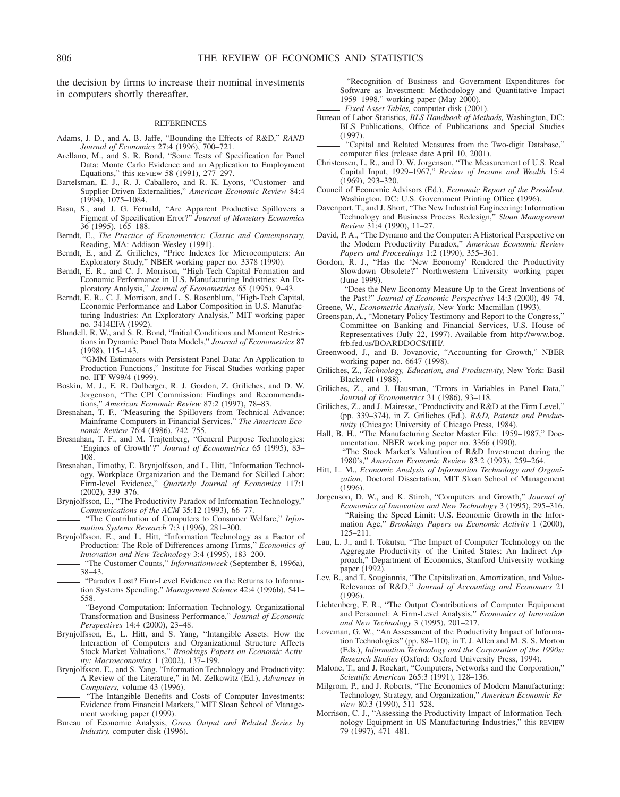the decision by firms to increase their nominal investments in computers shortly thereafter.

#### REFERENCES

- Adams, J. D., and A. B. Jaffe, "Bounding the Effects of R&D," *RAND Journal of Economics* 27:4 (1996), 700–721.
- Arellano, M., and S. R. Bond, "Some Tests of Specification for Panel Data: Monte Carlo Evidence and an Application to Employment Equations," this REVIEW 58 (1991), 277–297.
- Bartelsman, E. J., R. J. Caballero, and R. K. Lyons, "Customer- and Supplier-Driven Externalities," *American Economic Review* 84:4 (1994), 1075–1084.
- Basu, S., and J. G. Fernald, "Are Apparent Productive Spillovers a Figment of Specification Error?" *Journal of Monetary Economics* 36 (1995), 165–188.
- Berndt, E., *The Practice of Econometrics: Classic and Contemporary,* Reading, MA: Addison-Wesley (1991).
- Berndt, E., and Z. Griliches, "Price Indexes for Microcomputers: An Exploratory Study," NBER working paper no. 3378 (1990).
- Berndt, E. R., and C. J. Morrison, "High-Tech Capital Formation and Economic Performance in U.S. Manufacturing Industries: An Exploratory Analysis," *Journal of Econometrics* 65 (1995), 9–43.
- Berndt, E. R., C. J. Morrison, and L. S. Rosenblum, "High-Tech Capital, Economic Performance and Labor Composition in U.S. Manufacturing Industries: An Exploratory Analysis," MIT working paper no. 3414EFA (1992).
- Blundell, R. W., and S. R. Bond, "Initial Conditions and Moment Restrictions in Dynamic Panel Data Models," *Journal of Econometrics* 87 (1998), 115–143.
- "GMM Estimators with Persistent Panel Data: An Application to Production Functions," Institute for Fiscal Studies working paper no. IFF W99/4 (1999).
- Boskin, M. J., E. R. Dulberger, R. J. Gordon, Z. Griliches, and D. W. Jorgenson, "The CPI Commission: Findings and Recommendations," *American Economic Review* 87:2 (1997), 78–83.
- Bresnahan, T. F., "Measuring the Spillovers from Technical Advance: Mainframe Computers in Financial Services," *The American Economic Review* 76:4 (1986), 742–755.
- Bresnahan, T. F., and M. Trajtenberg, "General Purpose Technologies: 'Engines of Growth'?" *Journal of Econometrics* 65 (1995), 83– 108.
- Bresnahan, Timothy, E. Brynjolfsson, and L. Hitt, "Information Technology, Workplace Organization and the Demand for Skilled Labor: Firm-level Evidence," *Quarterly Journal of Economics* 117:1 (2002), 339–376.
- Brynjolfsson, E., "The Productivity Paradox of Information Technology," *Communications of the ACM* 35:12 (1993), 66–77.
	- "The Contribution of Computers to Consumer Welfare," *Information Systems Research* 7:3 (1996), 281–300.
- Brynjolfsson, E., and L. Hitt, "Information Technology as a Factor of Production: The Role of Differences among Firms," *Economics of Innovation and New Technology* 3:4 (1995), 183–200.
- "The Customer Counts," *Informationweek* (September 8, 1996a), 38–43.
- "Paradox Lost? Firm-Level Evidence on the Returns to Information Systems Spending," *Management Science* 42:4 (1996b), 541– 558.
- "Beyond Computation: Information Technology, Organizational Transformation and Business Performance," *Journal of Economic Perspectives* 14:4 (2000), 23–48.
- Brynjolfsson, E., L. Hitt, and S. Yang, "Intangible Assets: How the Interaction of Computers and Organizational Structure Affects Stock Market Valuations," *Brookings Papers on Economic Activity: Macroeconomics* 1 (2002), 137–199.
- Brynjolfsson, E., and S. Yang, "Information Technology and Productivity: A Review of the Literature," in M. Zelkowitz (Ed.), *Advances in Computers,* volume 43 (1996).
	- "The Intangible Benefits and Costs of Computer Investments: Evidence from Financial Markets," MIT Sloan School of Management working paper (1999).
- Bureau of Economic Analysis, *Gross Output and Related Series by Industry,* computer disk (1996).

"Recognition of Business and Government Expenditures for Software as Investment: Methodology and Quantitative Impact 1959–1998," working paper (May 2000).

*Fixed Asset Tables,* computer disk (2001).

- Bureau of Labor Statistics, *BLS Handbook of Methods,* Washington, DC: BLS Publications, Office of Publications and Special Studies (1997).
- "Capital and Related Measures from the Two-digit Database," computer files (release date April 10, 2001).
- Christensen, L. R., and D. W. Jorgenson, "The Measurement of U.S. Real Capital Input, 1929–1967," *Review of Income and Wealth* 15:4 (1969), 293–320.
- Council of Economic Advisors (Ed.), *Economic Report of the President,* Washington, DC: U.S. Government Printing Office (1996).
- Davenport, T., and J. Short, "The New Industrial Engineering: Information Technology and Business Process Redesign," *Sloan Management Review* 31:4 (1990), 11–27.
- David, P. A., "The Dynamo and the Computer: A Historical Perspective on the Modern Productivity Paradox," *American Economic Review Papers and Proceedings* 1:2 (1990), 355–361.
- Gordon, R. J., "Has the 'New Economy' Rendered the Productivity Slowdown Obsolete?" Northwestern University working paper (June 1999).

"Does the New Economy Measure Up to the Great Inventions of the Past?" *Journal of Economic Perspectives* 14:3 (2000), 49–74. Greene, W., *Econometric Analysis,* New York: Macmillan (1993).

Greenspan, A., "Monetary Policy Testimony and Report to the Congress,"

- Committee on Banking and Financial Services, U.S. House of Representatives (July 22, 1997). Available from http://www.bog. frb.fed.us/BOARDDOCS/HH/.
- Greenwood, J., and B. Jovanovic, "Accounting for Growth," NBER working paper no. 6647 (1998).
- Griliches, Z., *Technology, Education, and Productivity,* New York: Basil Blackwell (1988).
- Griliches, Z., and J. Hausman, "Errors in Variables in Panel Data," *Journal of Econometrics* 31 (1986), 93–118.
- Griliches, Z., and J. Mairesse, "Productivity and R&D at the Firm Level," (pp. 339–374), in Z. Griliches (Ed.), *R&D, Patents and Productivity* (Chicago: University of Chicago Press, 1984).
- Hall, B. H., "The Manufacturing Sector Master File: 1959–1987," Documentation, NBER working paper no. 3366 (1990).
- "The Stock Market's Valuation of R&D Investment during the 1980's," *American Economic Review* 83:2 (1993), 259–264.
- Hitt, L. M., *Economic Analysis of Information Technology and Organization,* Doctoral Dissertation, MIT Sloan School of Management (1996).
- Jorgenson, D. W., and K. Stiroh, "Computers and Growth," *Journal of Economics of Innovation and New Technology* 3 (1995), 295–316. "Raising the Speed Limit: U.S. Economic Growth in the Information Age," *Brookings Papers on Economic Activity* 1 (2000), 125–211.
- Lau, L. J., and I. Tokutsu, "The Impact of Computer Technology on the Aggregate Productivity of the United States: An Indirect Approach," Department of Economics, Stanford University working paper (1992).
- Lev, B., and T. Sougiannis, "The Capitalization, Amortization, and Value-Relevance of R&D," *Journal of Accounting and Economics* 21 (1996).
- Lichtenberg, F. R., "The Output Contributions of Computer Equipment and Personnel: A Firm-Level Analysis," *Economics of Innovation and New Technology* 3 (1995), 201–217.
- Loveman, G. W., "An Assessment of the Productivity Impact of Information Technologies" (pp. 88–110), in T. J. Allen and M. S. S. Morton (Eds.), *Information Technology and the Corporation of the 1990s: Research Studies* (Oxford: Oxford University Press, 1994).
- Malone, T., and J. Rockart, "Computers, Networks and the Corporation," *Scientific American* 265:3 (1991), 128–136.
- Milgrom, P., and J. Roberts, "The Economics of Modern Manufacturing: Technology, Strategy, and Organization," *American Economic Review* 80:3 (1990), 511–528.
- Morrison, C. J., "Assessing the Productivity Impact of Information Technology Equipment in US Manufacturing Industries," this REVIEW 79 (1997), 471–481.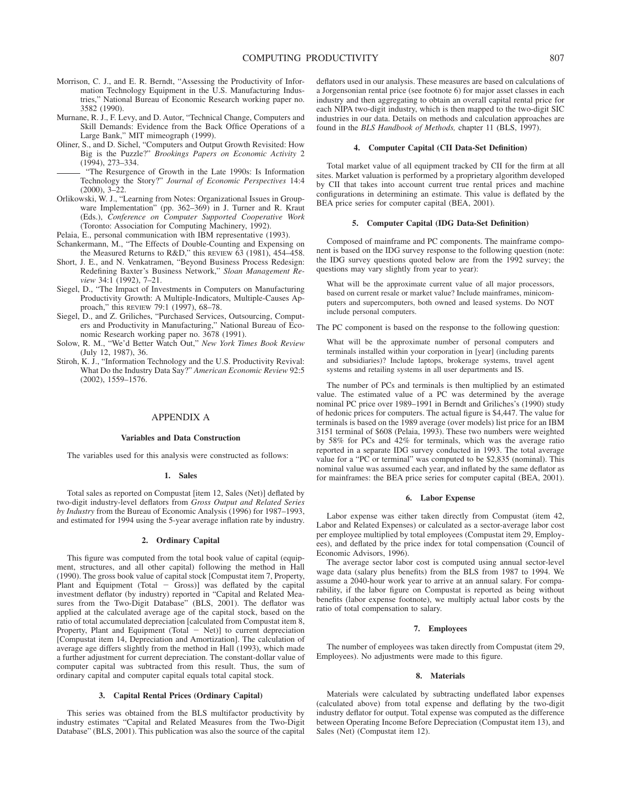- Morrison, C. J., and E. R. Berndt, "Assessing the Productivity of Information Technology Equipment in the U.S. Manufacturing Industries," National Bureau of Economic Research working paper no. 3582 (1990).
- Murnane, R. J., F. Levy, and D. Autor, "Technical Change, Computers and Skill Demands: Evidence from the Back Office Operations of a Large Bank," MIT mimeograph (1999).
- Oliner, S., and D. Sichel, "Computers and Output Growth Revisited: How Big is the Puzzle?" *Brookings Papers on Economic Activity* 2 (1994), 273–334.
	- "The Resurgence of Growth in the Late 1990s: Is Information Technology the Story?" *Journal of Economic Perspectives* 14:4 (2000), 3–22.
- Orlikowski, W. J., "Learning from Notes: Organizational Issues in Groupware Implementation" (pp. 362–369) in J. Turner and R. Kraut (Eds.), *Conference on Computer Supported Cooperative Work* (Toronto: Association for Computing Machinery, 1992).
- Pelaia, E., personal communication with IBM representative (1993).
- Schankermann, M., "The Effects of Double-Counting and Expensing on the Measured Returns to R&D," this REVIEW  $\overline{63}$  (1981), 454–458.
- Short, J. E., and N. Venkatramen, "Beyond Business Process Redesign: Redefining Baxter's Business Network," *Sloan Management Review* 34:1 (1992), 7–21.
- Siegel, D., "The Impact of Investments in Computers on Manufacturing Productivity Growth: A Multiple-Indicators, Multiple-Causes Approach," this REVIEW 79:1 (1997), 68–78.
- Siegel, D., and Z. Griliches, "Purchased Services, Outsourcing, Computers and Productivity in Manufacturing," National Bureau of Economic Research working paper no. 3678 (1991).
- Solow, R. M., "We'd Better Watch Out," *New York Times Book Review* (July 12, 1987), 36.
- Stiroh, K. J., "Information Technology and the U.S. Productivity Revival: What Do the Industry Data Say?" *American Economic Review* 92:5 (2002), 1559–1576.

## APPENDIX A

#### **Variables and Data Construction**

The variables used for this analysis were constructed as follows:

## **1. Sales**

Total sales as reported on Compustat [item 12, Sales (Net)] deflated by two-digit industry-level deflators from *Gross Output and Related Series by Industry* from the Bureau of Economic Analysis (1996) for 1987–1993, and estimated for 1994 using the 5-year average inflation rate by industry.

#### **2. Ordinary Capital**

This figure was computed from the total book value of capital (equipment, structures, and all other capital) following the method in Hall (1990). The gross book value of capital stock [Compustat item 7, Property, Plant and Equipment (Total  $-$  Gross)] was deflated by the capital investment deflator (by industry) reported in "Capital and Related Measures from the Two-Digit Database" (BLS, 2001). The deflator was applied at the calculated average age of the capital stock, based on the ratio of total accumulated depreciation [calculated from Compustat item 8, Property, Plant and Equipment (Total  $-$  Net)] to current depreciation [Compustat item 14, Depreciation and Amortization]. The calculation of average age differs slightly from the method in Hall (1993), which made a further adjustment for current depreciation. The constant-dollar value of computer capital was subtracted from this result. Thus, the sum of ordinary capital and computer capital equals total capital stock.

#### **3. Capital Rental Prices (Ordinary Capital)**

This series was obtained from the BLS multifactor productivity by industry estimates "Capital and Related Measures from the Two-Digit Database" (BLS, 2001). This publication was also the source of the capital deflators used in our analysis. These measures are based on calculations of a Jorgensonian rental price (see footnote 6) for major asset classes in each industry and then aggregating to obtain an overall capital rental price for each NIPA two-digit industry, which is then mapped to the two-digit SIC industries in our data. Details on methods and calculation approaches are found in the *BLS Handbook of Methods,* chapter 11 (BLS, 1997).

#### **4. Computer Capital (CII Data-Set Definition)**

Total market value of all equipment tracked by CII for the firm at all sites. Market valuation is performed by a proprietary algorithm developed by CII that takes into account current true rental prices and machine configurations in determining an estimate. This value is deflated by the BEA price series for computer capital (BEA, 2001).

#### **5. Computer Capital (IDG Data-Set Definition)**

Composed of mainframe and PC components. The mainframe component is based on the IDG survey response to the following question (note: the IDG survey questions quoted below are from the 1992 survey; the questions may vary slightly from year to year):

What will be the approximate current value of all major processors, based on current resale or market value? Include mainframes, minicomputers and supercomputers, both owned and leased systems. Do NOT include personal computers.

The PC component is based on the response to the following question:

What will be the approximate number of personal computers and terminals installed within your corporation in [year] (including parents and subsidiaries)? Include laptops, brokerage systems, travel agent systems and retailing systems in all user departments and IS.

The number of PCs and terminals is then multiplied by an estimated value. The estimated value of a PC was determined by the average nominal PC price over 1989–1991 in Berndt and Griliches's (1990) study of hedonic prices for computers. The actual figure is \$4,447. The value for terminals is based on the 1989 average (over models) list price for an IBM 3151 terminal of \$608 (Pelaia, 1993). These two numbers were weighted by 58% for PCs and 42% for terminals, which was the average ratio reported in a separate IDG survey conducted in 1993. The total average value for a "PC or terminal" was computed to be \$2,835 (nominal). This nominal value was assumed each year, and inflated by the same deflator as for mainframes: the BEA price series for computer capital (BEA, 2001).

#### **6. Labor Expense**

Labor expense was either taken directly from Compustat (item 42, Labor and Related Expenses) or calculated as a sector-average labor cost per employee multiplied by total employees (Compustat item 29, Employees), and deflated by the price index for total compensation (Council of Economic Advisors, 1996).

The average sector labor cost is computed using annual sector-level wage data (salary plus benefits) from the BLS from 1987 to 1994. We assume a 2040-hour work year to arrive at an annual salary. For comparability, if the labor figure on Compustat is reported as being without benefits (labor expense footnote), we multiply actual labor costs by the ratio of total compensation to salary.

### **7. Employees**

The number of employees was taken directly from Compustat (item 29, Employees). No adjustments were made to this figure.

#### **8. Materials**

Materials were calculated by subtracting undeflated labor expenses (calculated above) from total expense and deflating by the two-digit industry deflator for output. Total expense was computed as the difference between Operating Income Before Depreciation (Compustat item 13), and Sales (Net) (Compustat item 12).